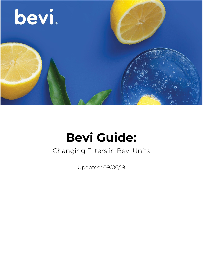

# **Bevi Guide:**

#### Changing Filters in Bevi Units

Updated: 09/06/19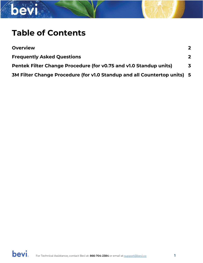

#### **Table of Contents**

| <b>Overview</b>                                                          | $\mathbf{2}$ |
|--------------------------------------------------------------------------|--------------|
| <b>Frequently Asked Questions</b>                                        | $\mathbf{2}$ |
| Pentek Filter Change Procedure (for v0.75 and v1.0 Standup units)        | 3            |
| 3M Filter Change Procedure (for v1.0 Standup and all Countertop units) 5 |              |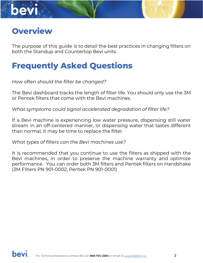<span id="page-2-0"></span>

The purpose of this guide is to detail the best practices in changing filters on both the Standup and Countertop Bevi units.

#### <span id="page-2-1"></span>**Frequently Asked Questions**

*How often should the filter be changed?*

The Bevi dashboard tracks the length of filter life. You should only use the 3M or Pentek filters that come with the Bevi machines.

*What symptoms could signal accelerated degradation of filter life?*

If a Bevi machine is experiencing low water pressure, dispensing still water stream in an off-centered manner, or dispensing water that tastes different than normal, it may be time to replace the filter.

*What types of filters can the Bevi machines use?*

It is recommended that you continue to use the filters as shipped with the Bevi machines, in order to preserve the machine warranty and optimize performance. You can order both 3M filters and Pentek filters on Handshake (3M FIlters PN 901-0002, Pentek PN 901-0001)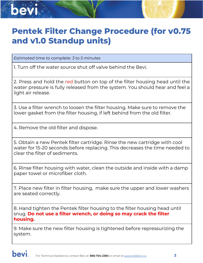## <span id="page-3-0"></span>**Pentek Filter Change Procedure (for v0.75 and v1.0 Standup units)**

*Estimated time to complete: 3 to 5 minutes*

1. Turn off the water source shut off valve behind the Bevi.

2. Press and hold the red button on top of the filter housing head until the water pressure is fully released from the system. You should hear and feel a light air release.

3. Use a filter wrench to loosen the filter housing. Make sure to remove the lower gasket from the filter housing, if left behind from the old filter.

4. Remove the old filter and dispose.

5. Obtain a new Pentek filter cartridge. Rinse the new cartridge with cool water for 15-20 seconds before replacing. This decreases the time needed to clear the filter of sediments.

6. Rinse filter housing with water, clean the outside and inside with a damp paper towel or microfiber cloth.

7. Place new filter in filter housing, make sure the upper and lower washers are seated correctly.

8. Hand tighten the Pentek filter housing to the filter housing head until snug. **Do not use a filter wrench, or doing so may crack the filter housing.**

9. Make sure the new filter housing is tightened before repressurizing the system.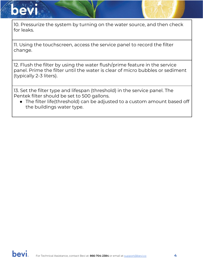

10. Pressurize the system by turning on the water source, and then check for leaks.

11. Using the touchscreen, access the service panel to record the filter change.

12. Flush the filter by using the water flush/prime feature in the service panel. Prime the filter until the water is clear of micro bubbles or sediment (typically 2-3 liters).

13. Set the filter type and lifespan (threshold) in the service panel. The Pentek filter should be set to 500 gallons.

● The filter life(threshold) can be adjusted to a custom amount based off the buildings water type.